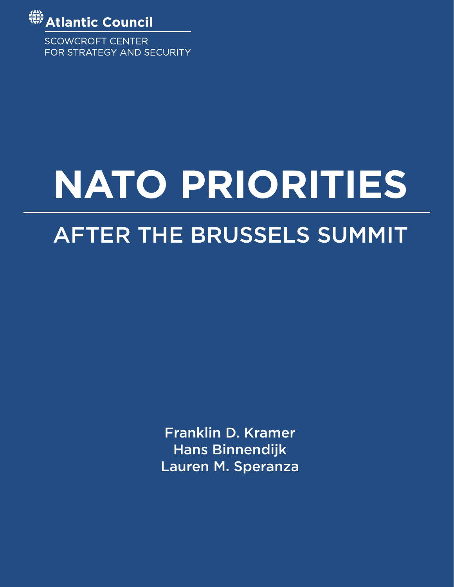

**SCOWCROFT CENTER** FOR STRATEGY AND SECURITY

# **NATO PRIORITIES**

# AFTER THE BRUSSELS SUMMIT

Franklin D. Kramer Hans Binnendijk Lauren M. Speranza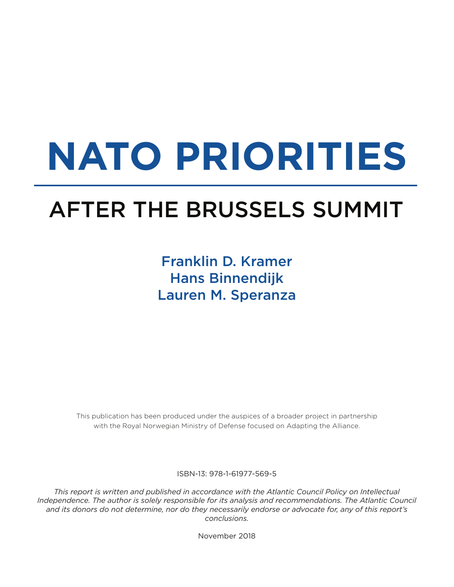# **NATO PRIORITIES**

# AFTER THE BRUSSELS SUMMIT

### Franklin D. Kramer Hans Binnendijk Lauren M. Speranza

This publication has been produced under the auspices of a broader project in partnership with the Royal Norwegian Ministry of Defense focused on Adapting the Alliance.

ISBN-13: 978-1-61977-569-5

*This report is written and published in accordance with the Atlantic Council Policy on Intellectual Independence. The author is solely responsible for its analysis and recommendations. The Atlantic Council and its donors do not determine, nor do they necessarily endorse or advocate for, any of this report's conclusions.*

November 2018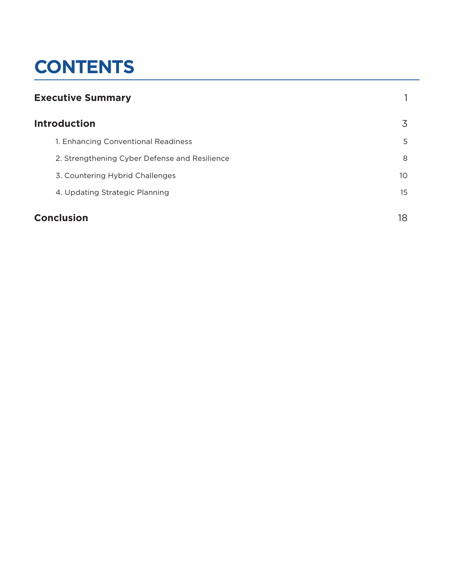# **CONTENTS**

| <b>Executive Summary</b> |                                               |    |
|--------------------------|-----------------------------------------------|----|
|                          | <b>Introduction</b>                           |    |
|                          | 1. Enhancing Conventional Readiness           | 5  |
|                          | 2. Strengthening Cyber Defense and Resilience | 8  |
|                          | 3. Countering Hybrid Challenges               | 10 |
|                          | 4. Updating Strategic Planning                | 15 |
| <b>Conclusion</b>        |                                               | 18 |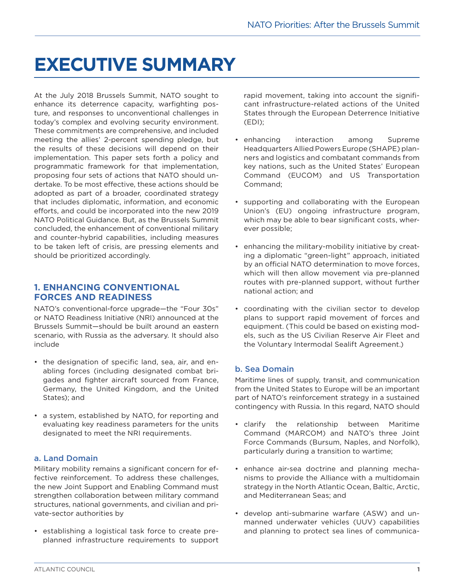## **EXECUTIVE SUMMARY**

At the July 2018 Brussels Summit, NATO sought to enhance its deterrence capacity, warfighting posture, and responses to unconventional challenges in today's complex and evolving security environment. These commitments are comprehensive, and included meeting the allies' 2-percent spending pledge, but the results of these decisions will depend on their implementation. This paper sets forth a policy and programmatic framework for that implementation, proposing four sets of actions that NATO should undertake. To be most effective, these actions should be adopted as part of a broader, coordinated strategy that includes diplomatic, information, and economic efforts, and could be incorporated into the new 2019 NATO Political Guidance. But, as the Brussels Summit concluded, the enhancement of conventional military and counter-hybrid capabilities, including measures to be taken left of crisis, are pressing elements and should be prioritized accordingly.

#### **1. ENHANCING CONVENTIONAL FORCES AND READINESS**

NATO's conventional-force upgrade—the "Four 30s" or NATO Readiness Initiative (NRI) announced at the Brussels Summit—should be built around an eastern scenario, with Russia as the adversary. It should also include

- the designation of specific land, sea, air, and enabling forces (including designated combat brigades and fighter aircraft sourced from France, Germany, the United Kingdom, and the United States); and
- a system, established by NATO, for reporting and evaluating key readiness parameters for the units designated to meet the NRI requirements.

#### a. Land Domain

Military mobility remains a significant concern for effective reinforcement. To address these challenges, the new Joint Support and Enabling Command must strengthen collaboration between military command structures, national governments, and civilian and private-sector authorities by

• establishing a logistical task force to create preplanned infrastructure requirements to support rapid movement, taking into account the significant infrastructure-related actions of the United States through the European Deterrence Initiative (EDI);

- enhancing interaction among Supreme Headquarters Allied Powers Europe (SHAPE) planners and logistics and combatant commands from key nations, such as the United States' European Command (EUCOM) and US Transportation Command;
- supporting and collaborating with the European Union's (EU) ongoing infrastructure program, which may be able to bear significant costs, wherever possible;
- enhancing the military-mobility initiative by creating a diplomatic "green-light" approach, initiated by an official NATO determination to move forces, which will then allow movement via pre-planned routes with pre-planned support, without further national action; and
- coordinating with the civilian sector to develop plans to support rapid movement of forces and equipment. (This could be based on existing models, such as the US Civilian Reserve Air Fleet and the Voluntary Intermodal Sealift Agreement.)

#### b. Sea Domain

Maritime lines of supply, transit, and communication from the United States to Europe will be an important part of NATO's reinforcement strategy in a sustained contingency with Russia. In this regard, NATO should

- clarify the relationship between Maritime Command (MARCOM) and NATO's three Joint Force Commands (Bursum, Naples, and Norfolk), particularly during a transition to wartime;
- enhance air-sea doctrine and planning mechanisms to provide the Alliance with a multidomain strategy in the North Atlantic Ocean, Baltic, Arctic, and Mediterranean Seas; and
- develop anti-submarine warfare (ASW) and unmanned underwater vehicles (UUV) capabilities and planning to protect sea lines of communica-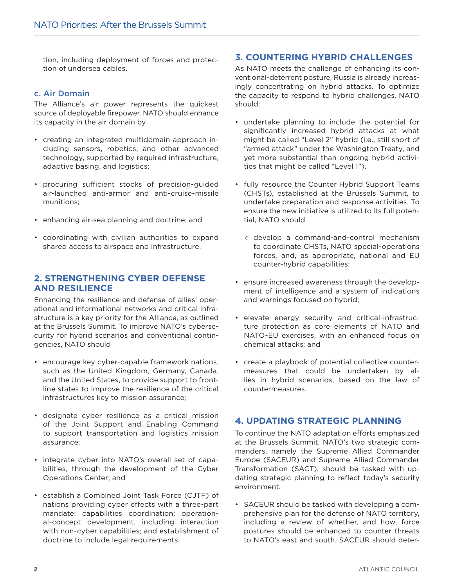tion, including deployment of forces and protection of undersea cables.

#### c. Air Domain

The Alliance's air power represents the quickest source of deployable firepower. NATO should enhance its capacity in the air domain by

- creating an integrated multidomain approach including sensors, robotics, and other advanced technology, supported by required infrastructure, adaptive basing, and logistics;
- procuring sufficient stocks of precision-guided air-launched anti-armor and anti-cruise-missile munitions;
- enhancing air-sea planning and doctrine; and
- coordinating with civilian authorities to expand shared access to airspace and infrastructure.

#### **2. STRENGTHENING CYBER DEFENSE AND RESILIENCE**

Enhancing the resilience and defense of allies' operational and informational networks and critical infrastructure is a key priority for the Alliance, as outlined at the Brussels Summit. To improve NATO's cybersecurity for hybrid scenarios and conventional contingencies, NATO should

- encourage key cyber-capable framework nations, such as the United Kingdom, Germany, Canada, and the United States, to provide support to frontline states to improve the resilience of the critical infrastructures key to mission assurance;
- designate cyber resilience as a critical mission of the Joint Support and Enabling Command to support transportation and logistics mission assurance;
- integrate cyber into NATO's overall set of capabilities, through the development of the Cyber Operations Center; and
- establish a Combined Joint Task Force (CJTF) of nations providing cyber effects with a three-part mandate: capabilities coordination; operational-concept development, including interaction with non-cyber capabilities; and establishment of doctrine to include legal requirements.

#### **3. COUNTERING HYBRID CHALLENGES**

As NATO meets the challenge of enhancing its conventional-deterrent posture, Russia is already increasingly concentrating on hybrid attacks. To optimize the capacity to respond to hybrid challenges, NATO should:

- undertake planning to include the potential for significantly increased hybrid attacks at what might be called "Level 2" hybrid (i.e., still short of "armed attack" under the Washington Treaty, and yet more substantial than ongoing hybrid activities that might be called "Level 1").
- fully resource the Counter Hybrid Support Teams (CHSTs), established at the Brussels Summit, to undertake preparation and response activities. To ensure the new initiative is utilized to its full potential, NATO should
	- develop a command-and-control mechanism to coordinate CHSTs, NATO special-operations forces, and, as appropriate, national and EU counter-hybrid capabilities;
- ensure increased awareness through the development of intelligence and a system of indications and warnings focused on hybrid;
- elevate energy security and critical-infrastructure protection as core elements of NATO and NATO-EU exercises, with an enhanced focus on chemical attacks; and
- create a playbook of potential collective countermeasures that could be undertaken by allies in hybrid scenarios, based on the law of countermeasures.

#### **4. UPDATING STRATEGIC PLANNING**

To continue the NATO adaptation efforts emphasized at the Brussels Summit, NATO's two strategic commanders, namely the Supreme Allied Commander Europe (SACEUR) and Supreme Allied Commander Transformation (SACT), should be tasked with updating strategic planning to reflect today's security environment.

• SACEUR should be tasked with developing a comprehensive plan for the defense of NATO territory, including a review of whether, and how, force postures should be enhanced to counter threats to NATO's east and south. SACEUR should deter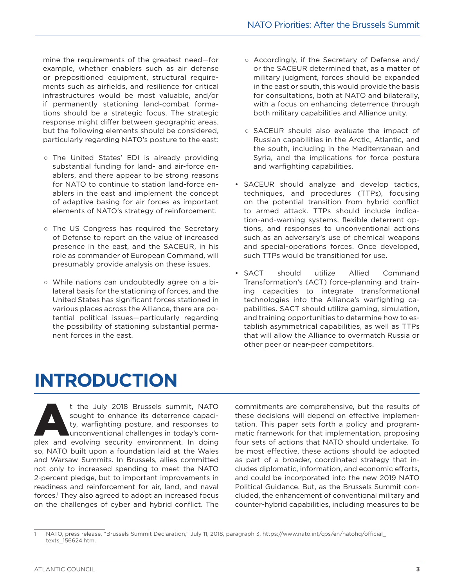mine the requirements of the greatest need—for example, whether enablers such as air defense or prepositioned equipment, structural requirements such as airfields, and resilience for critical infrastructures would be most valuable, and/or if permanently stationing land-combat formations should be a strategic focus. The strategic response might differ between geographic areas, but the following elements should be considered, particularly regarding NATO's posture to the east:

- The United States' EDI is already providing substantial funding for land- and air-force enablers, and there appear to be strong reasons for NATO to continue to station land-force enablers in the east and implement the concept of adaptive basing for air forces as important elements of NATO's strategy of reinforcement.
- The US Congress has required the Secretary of Defense to report on the value of increased presence in the east, and the SACEUR, in his role as commander of European Command, will presumably provide analysis on these issues.
- While nations can undoubtedly agree on a bilateral basis for the stationing of forces, and the United States has significant forces stationed in various places across the Alliance, there are potential political issues—particularly regarding the possibility of stationing substantial permanent forces in the east.
- Accordingly, if the Secretary of Defense and/ or the SACEUR determined that, as a matter of military judgment, forces should be expanded in the east or south, this would provide the basis for consultations, both at NATO and bilaterally, with a focus on enhancing deterrence through both military capabilities and Alliance unity.
- SACEUR should also evaluate the impact of Russian capabilities in the Arctic, Atlantic, and the south, including in the Mediterranean and Syria, and the implications for force posture and warfighting capabilities.
- SACEUR should analyze and develop tactics, techniques, and procedures (TTPs), focusing on the potential transition from hybrid conflict to armed attack. TTPs should include indication-and-warning systems, flexible deterrent options, and responses to unconventional actions such as an adversary's use of chemical weapons and special-operations forces. Once developed, such TTPs would be transitioned for use.
- SACT should utilize Allied Command Transformation's (ACT) force-planning and training capacities to integrate transformational technologies into the Alliance's warfighting capabilities. SACT should utilize gaming, simulation, and training opportunities to determine how to establish asymmetrical capabilities, as well as TTPs that will allow the Alliance to overmatch Russia or other peer or near-peer competitors.

## **INTRODUCTION**

t the July 2018 Brussels summit, NATO sought to enhance its deterrence capacity, warfighting posture, and responses to unconventional challenges in today's complex and evolving security environment. In doing sought to enhance its deterrence capacity, warfighting posture, and responses to unconventional challenges in today's comso, NATO built upon a foundation laid at the Wales and Warsaw Summits. In Brussels, allies committed not only to increased spending to meet the NATO 2-percent pledge, but to important improvements in readiness and reinforcement for air, land, and naval forces.1 They also agreed to adopt an increased focus on the challenges of cyber and hybrid conflict. The

commitments are comprehensive, but the results of these decisions will depend on effective implementation. This paper sets forth a policy and programmatic framework for that implementation, proposing four sets of actions that NATO should undertake. To be most effective, these actions should be adopted as part of a broader, coordinated strategy that includes diplomatic, information, and economic efforts, and could be incorporated into the new 2019 NATO Political Guidance. But, as the Brussels Summit concluded, the enhancement of conventional military and counter-hybrid capabilities, including measures to be

<sup>1</sup> NATO, press release, "Brussels Summit Declaration," July 11, 2018, paragraph 3, https://www.nato.int/cps/en/natohq/official\_ texts\_156624.htm.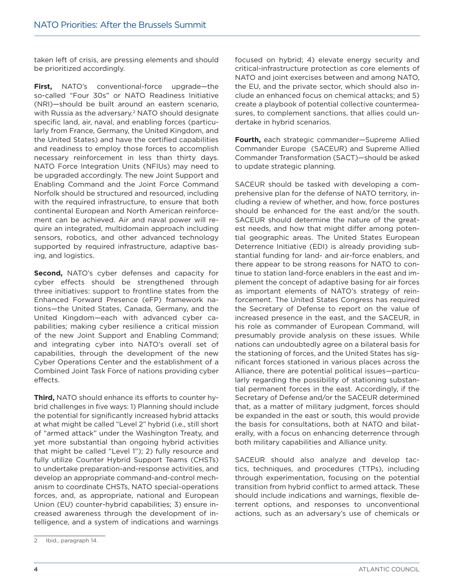taken left of crisis, are pressing elements and should be prioritized accordingly.

**First,** NATO's conventional-force upgrade—the so-called "Four 30s" or NATO Readiness Initiative (NRI)—should be built around an eastern scenario, with Russia as the adversary.<sup>2</sup> NATO should designate specific land, air, naval, and enabling forces (particularly from France, Germany, the United Kingdom, and the United States) and have the certified capabilities and readiness to employ those forces to accomplish necessary reinforcement in less than thirty days. NATO Force Integration Units (NFIUs) may need to be upgraded accordingly. The new Joint Support and Enabling Command and the Joint Force Command Norfolk should be structured and resourced, including with the required infrastructure, to ensure that both continental European and North American reinforcement can be achieved. Air and naval power will require an integrated, multidomain approach including sensors, robotics, and other advanced technology supported by required infrastructure, adaptive basing, and logistics.

**Second,** NATO's cyber defenses and capacity for cyber effects should be strengthened through three initiatives: support to frontline states from the Enhanced Forward Presence (eFP) framework nations—the United States, Canada, Germany, and the United Kingdom—each with advanced cyber capabilities; making cyber resilience a critical mission of the new Joint Support and Enabling Command; and integrating cyber into NATO's overall set of capabilities, through the development of the new Cyber Operations Center and the establishment of a Combined Joint Task Force of nations providing cyber effects.

**Third,** NATO should enhance its efforts to counter hybrid challenges in five ways: 1) Planning should include the potential for significantly increased hybrid attacks at what might be called "Level 2" hybrid (i.e., still short of "armed attack" under the Washington Treaty, and yet more substantial than ongoing hybrid activities that might be called "Level 1"); 2) fully resource and fully utilize Counter Hybrid Support Teams (CHSTs) to undertake preparation-and-response activities, and develop an appropriate command-and-control mechanism to coordinate CHSTs, NATO special-operations forces, and, as appropriate, national and European Union (EU) counter-hybrid capabilities; 3) ensure increased awareness through the development of intelligence, and a system of indications and warnings

focused on hybrid; 4) elevate energy security and critical-infrastructure protection as core elements of NATO and joint exercises between and among NATO, the EU, and the private sector, which should also include an enhanced focus on chemical attacks; and 5) create a playbook of potential collective countermeasures, to complement sanctions, that allies could undertake in hybrid scenarios.

**Fourth,** each strategic commander—Supreme Allied Commander Europe (SACEUR) and Supreme Allied Commander Transformation (SACT)—should be asked to update strategic planning.

SACEUR should be tasked with developing a comprehensive plan for the defense of NATO territory, including a review of whether, and how, force postures should be enhanced for the east and/or the south. SACEUR should determine the nature of the greatest needs, and how that might differ among potential geographic areas. The United States European Deterrence Initiative (EDI) is already providing substantial funding for land- and air-force enablers, and there appear to be strong reasons for NATO to continue to station land-force enablers in the east and implement the concept of adaptive basing for air forces as important elements of NATO's strategy of reinforcement. The United States Congress has required the Secretary of Defense to report on the value of increased presence in the east, and the SACEUR, in his role as commander of European Command, will presumably provide analysis on these issues. While nations can undoubtedly agree on a bilateral basis for the stationing of forces, and the United States has significant forces stationed in various places across the Alliance, there are potential political issues—particularly regarding the possibility of stationing substantial permanent forces in the east. Accordingly, if the Secretary of Defense and/or the SACEUR determined that, as a matter of military judgment, forces should be expanded in the east or south, this would provide the basis for consultations, both at NATO and bilaterally, with a focus on enhancing deterrence through both military capabilities and Alliance unity.

SACEUR should also analyze and develop tactics, techniques, and procedures (TTPs), including through experimentation, focusing on the potential transition from hybrid conflict to armed attack. These should include indications and warnings, flexible deterrent options, and responses to unconventional actions, such as an adversary's use of chemicals or

<sup>2</sup> Ibid., paragraph 14.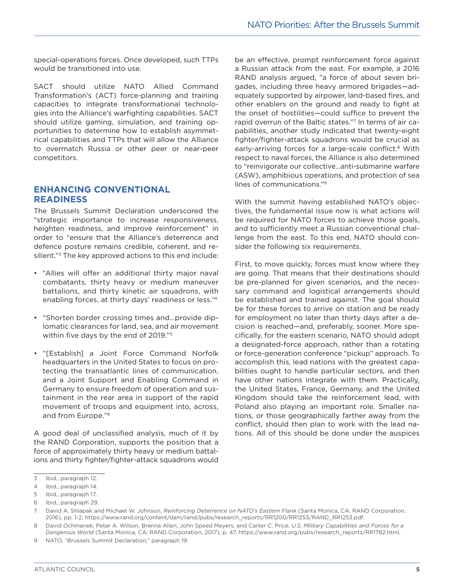special-operations forces. Once developed, such TTPs would be transitioned into use.

SACT should utilize NATO Allied Command Transformation's (ACT) force-planning and training capacities to integrate transformational technologies into the Alliance's warfighting capabilities. SACT should utilize gaming, simulation, and training opportunities to determine how to establish asymmetrical capabilities and TTPs that will allow the Alliance to overmatch Russia or other peer or near-peer competitors.

#### **ENHANCING CONVENTIONAL READINESS**

The Brussels Summit Declaration underscored the "strategic importance to increase responsiveness, heighten readiness, and improve reinforcement" in order to "ensure that the Alliance's deterrence and defence posture remains credible, coherent, and resilient."3 The key approved actions to this end include:

- "Allies will offer an additional thirty major naval combatants, thirty heavy or medium maneuver battalions, and thirty kinetic air squadrons, with enabling forces, at thirty days' readiness or less."4
- "Shorten border crossing times and…provide diplomatic clearances for land, sea, and air movement within five days by the end of 2019."5
- "[Establish] a Joint Force Command Norfolk headquarters in the United States to focus on protecting the transatlantic lines of communication, and a Joint Support and Enabling Command in Germany to ensure freedom of operation and sustainment in the rear area in support of the rapid movement of troops and equipment into, across, and from Europe."6

A good deal of unclassified analysis, much of it by the RAND Corporation, supports the position that a force of approximately thirty heavy or medium battalions and thirty fighter/fighter-attack squadrons would

be an effective, prompt reinforcement force against a Russian attack from the east. For example, a 2016 RAND analysis argued, "a force of about seven brigades, including three heavy armored brigades—adequately supported by airpower, land-based fires, and other enablers on the ground and ready to fight at the onset of hostilities—could suffice to prevent the rapid overrun of the Baltic states."7 In terms of air capabilities, another study indicated that twenty-eight fighter/fighter-attack squadrons would be crucial as early-arriving forces for a large-scale conflict.<sup>8</sup> With respect to naval forces, the Alliance is also determined to "reinvigorate our collective…anti-submarine warfare (ASW), amphibious operations, and protection of sea lines of communications."9

With the summit having established NATO's objectives, the fundamental issue now is what actions will be required for NATO forces to achieve those goals, and to sufficiently meet a Russian conventional challenge from the east. To this end, NATO should consider the following six requirements.

First, to move quickly, forces must know where they are going. That means that their destinations should be pre-planned for given scenarios, and the necessary command and logistical arrangements should be established and trained against. The goal should be for these forces to arrive on station and be ready for employment no later than thirty days after a decision is reached—and, preferably, sooner. More specifically, for the eastern scenario, NATO should adopt a designated-force approach, rather than a rotating or force-generation conference "pickup" approach. To accomplish this, lead nations with the greatest capabilities ought to handle particular sectors, and then have other nations integrate with them. Practically, the United States, France, Germany, and the United Kingdom should take the reinforcement lead, with Poland also playing an important role. Smaller nations, or those geographically farther away from the conflict, should then plan to work with the lead nations. All of this should be done under the auspices

<sup>3</sup> Ibid., paragraph 12.

<sup>4</sup> Ibid., paragraph 14.

<sup>5</sup> Ibid., paragraph 17.

<sup>6</sup> Ibid., paragraph 29.

<sup>7</sup> David A. Shlapak and Michael W. Johnson, *Reinforcing Deterrence on NATO's Eastern Flank* (Santa Monica, CA: RAND Corporation, 2016), pp. 1-2, https://www.rand.org/content/dam/rand/pubs/research\_reports/RR1200/RR1253/RAND\_RR1253.pdf.

<sup>8</sup> David Ochmanek, Peter A. Wilson, Brenna Allen, John Speed Meyers, and Carter C. Price, *U.S. Military Capabilities and Forces for a Dangerous World* (Santa Monica, CA: RAND Corporation, 2017), p. 47, https://www.rand.org/pubs/research\_reports/RR1782.html.

<sup>9</sup> NATO, "Brussels Summit Declaration," paragraph 19.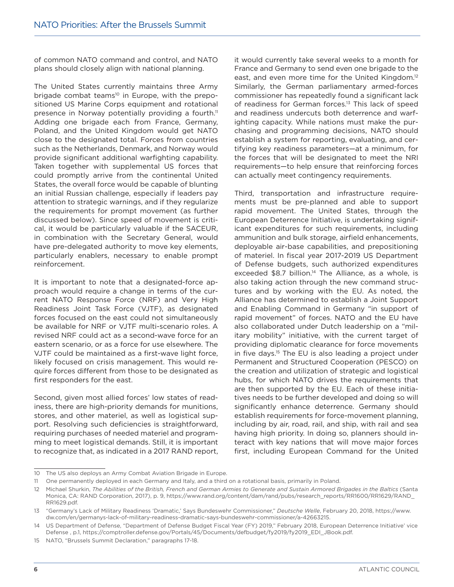of common NATO command and control, and NATO plans should closely align with national planning.

The United States currently maintains three Army brigade combat teams<sup>10</sup> in Europe, with the prepositioned US Marine Corps equipment and rotational presence in Norway potentially providing a fourth.<sup>11</sup> Adding one brigade each from France, Germany, Poland, and the United Kingdom would get NATO close to the designated total. Forces from countries such as the Netherlands, Denmark, and Norway would provide significant additional warfighting capability. Taken together with supplemental US forces that could promptly arrive from the continental United States, the overall force would be capable of blunting an initial Russian challenge, especially if leaders pay attention to strategic warnings, and if they regularize the requirements for prompt movement (as further discussed below). Since speed of movement is critical, it would be particularly valuable if the SACEUR, in combination with the Secretary General, would have pre-delegated authority to move key elements, particularly enablers, necessary to enable prompt reinforcement.

It is important to note that a designated-force approach would require a change in terms of the current NATO Response Force (NRF) and Very High Readiness Joint Task Force (VJTF), as designated forces focused on the east could not simultaneously be available for NRF or VJTF multi-scenario roles. A revised NRF could act as a second-wave force for an eastern scenario, or as a force for use elsewhere. The VJTF could be maintained as a first-wave light force, likely focused on crisis management. This would require forces different from those to be designated as first responders for the east.

Second, given most allied forces' low states of readiness, there are high-priority demands for munitions, stores, and other materiel, as well as logistical support. Resolving such deficiencies is straightforward, requiring purchases of needed materiel and programming to meet logistical demands. Still, it is important to recognize that, as indicated in a 2017 RAND report,

it would currently take several weeks to a month for France and Germany to send even one brigade to the east, and even more time for the United Kingdom.<sup>12</sup> Similarly, the German parliamentary armed-forces commissioner has repeatedly found a significant lack of readiness for German forces.13 This lack of speed and readiness undercuts both deterrence and warfighting capacity. While nations must make the purchasing and programming decisions, NATO should establish a system for reporting, evaluating, and certifying key readiness parameters—at a minimum, for the forces that will be designated to meet the NRI requirements—to help ensure that reinforcing forces can actually meet contingency requirements.

Third, transportation and infrastructure requirements must be pre-planned and able to support rapid movement. The United States, through the European Deterrence Initiative, is undertaking significant expenditures for such requirements, including ammunition and bulk storage, airfield enhancements, deployable air-base capabilities, and prepositioning of materiel. In fiscal year 2017-2019 US Department of Defense budgets, such authorized expenditures exceeded \$8.7 billion.<sup>14</sup> The Alliance, as a whole, is also taking action through the new command structures and by working with the EU. As noted, the Alliance has determined to establish a Joint Support and Enabling Command in Germany "in support of rapid movement" of forces. NATO and the EU have also collaborated under Dutch leadership on a "military mobility" initiative, with the current target of providing diplomatic clearance for force movements in five days.15 The EU is also leading a project under Permanent and Structured Cooperation (PESCO) on the creation and utilization of strategic and logistical hubs, for which NATO drives the requirements that are then supported by the EU. Each of these initiatives needs to be further developed and doing so will significantly enhance deterrence. Germany should establish requirements for force-movement planning, including by air, road, rail, and ship, with rail and sea having high priority. In doing so, planners should interact with key nations that will move major forces first, including European Command for the United

<sup>10</sup> The US also deploys an Army Combat Aviation Brigade in Europe.

<sup>11</sup> One permanently deployed in each Germany and Italy, and a third on a rotational basis, primarily in Poland.

<sup>12</sup> Michael Shurkin, *The Abilities of the British, French and German Armies to Generate and Sustain Armored Brigades in the Baltics* (Santa Monica, CA: RAND Corporation, 2017), p. 9, https://www.rand.org/content/dam/rand/pubs/research\_reports/RR1600/RR1629/RAND\_ RR1629.pdf.

<sup>13</sup> "Germany's Lack of Military Readiness 'Dramatic,' Says Bundeswehr Commissioner," *Deutsche Welle*, February 20, 2018, https://www. dw.com/en/germanys-lack-of-military-readiness-dramatic-says-bundeswehr-commissioner/a-42663215.

<sup>14</sup> US Department of Defense, "Department of Defense Budget Fiscal Year (FY) 2019," February 2018, European Deterrence Initiative' vice Defense , p.1, https://comptroller.defense.gov/Portals/45/Documents/defbudget/fy2019/fy2019\_EDI\_JBook.pdf.

<sup>15</sup> NATO, "Brussels Summit Declaration," paragraphs 17-18.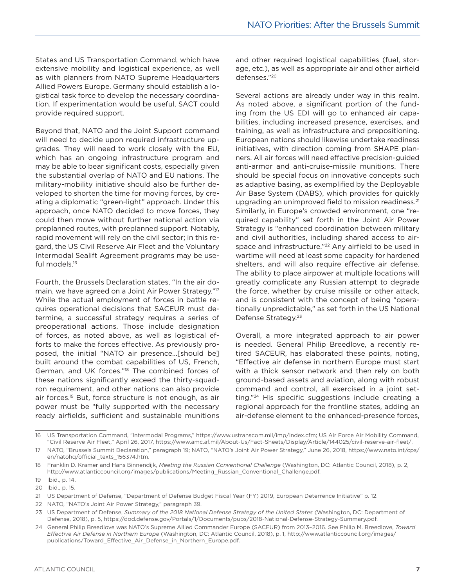States and US Transportation Command, which have extensive mobility and logistical experience, as well as with planners from NATO Supreme Headquarters Allied Powers Europe. Germany should establish a logistical task force to develop the necessary coordination. If experimentation would be useful, SACT could provide required support.

Beyond that, NATO and the Joint Support command will need to decide upon required infrastructure upgrades. They will need to work closely with the EU, which has an ongoing infrastructure program and may be able to bear significant costs, especially given the substantial overlap of NATO and EU nations. The military-mobility initiative should also be further developed to shorten the time for moving forces, by creating a diplomatic "green-light" approach. Under this approach, once NATO decided to move forces, they could then move without further national action via preplanned routes, with preplanned support. Notably, rapid movement will rely on the civil sector; in this regard, the US Civil Reserve Air Fleet and the Voluntary Intermodal Sealift Agreement programs may be useful models.16

Fourth, the Brussels Declaration states, "In the air domain, we have agreed on a Joint Air Power Strategy."17 While the actual employment of forces in battle requires operational decisions that SACEUR must determine, a successful strategy requires a series of preoperational actions. Those include designation of forces, as noted above, as well as logistical efforts to make the forces effective. As previously proposed, the initial "NATO air presence…[should be] built around the combat capabilities of US, French, German, and UK forces."18 The combined forces of these nations significantly exceed the thirty-squadron requirement, and other nations can also provide air forces.19 But, force structure is not enough, as air power must be "fully supported with the necessary ready airfields, sufficient and sustainable munitions and other required logistical capabilities (fuel, storage, etc.), as well as appropriate air and other airfield defenses."20

Several actions are already under way in this realm. As noted above, a significant portion of the funding from the US EDI will go to enhanced air capabilities, including increased presence, exercises, and training, as well as infrastructure and prepositioning. European nations should likewise undertake readiness initiatives, with direction coming from SHAPE planners. All air forces will need effective precision-guided anti-armor and anti-cruise-missile munitions. There should be special focus on innovative concepts such as adaptive basing, as exemplified by the Deployable Air Base System (DABS), which provides for quickly upgrading an unimproved field to mission readiness.<sup>21</sup> Similarly, in Europe's crowded environment, one "required capability" set forth in the Joint Air Power Strategy is "enhanced coordination between military and civil authorities, including shared access to airspace and infrastructure."<sup>22</sup> Any airfield to be used in wartime will need at least some capacity for hardened shelters, and will also require effective air defense. The ability to place airpower at multiple locations will greatly complicate any Russian attempt to degrade the force, whether by cruise missile or other attack, and is consistent with the concept of being "operationally unpredictable," as set forth in the US National Defense Strategy.23

Overall, a more integrated approach to air power is needed. General Philip Breedlove, a recently retired SACEUR, has elaborated these points, noting, "Effective air defense in northern Europe must start with a thick sensor network and then rely on both ground-based assets and aviation, along with robust command and control, all exercised in a joint setting."24 His specific suggestions include creating a regional approach for the frontline states, adding an air-defense element to the enhanced-presence forces,

<sup>16</sup> US Transportation Command, "Intermodal Programs," https://www.ustranscom.mil/imp/index.cfm; US Air Force Air Mobility Command, "Civil Reserve Air Fleet," April 26, 2017, https://www.amc.af.mil/About-Us/Fact-Sheets/Display/Article/144025/civil-reserve-air-fleet/.

<sup>17</sup> NATO, "Brussels Summit Declaration," paragraph 19; NATO, "NATO's Joint Air Power Strategy," June 26, 2018, https://www.nato.int/cps/ en/natohq/official\_texts\_156374.htm.

<sup>18</sup> Franklin D. Kramer and Hans Binnendijk, *Meeting the Russian Conventional Challenge* (Washington, DC: Atlantic Council, 2018), p. 2, http://www.atlanticcouncil.org/images/publications/Meeting\_Russian\_Conventional\_Challenge.pdf.

<sup>19</sup> Ibid., p. 14.

<sup>20</sup> Ibid., p. 15.

<sup>21</sup> US Department of Defense, "Department of Defense Budget Fiscal Year (FY) 2019, European Deterrence Initiative" p. 12.

<sup>22</sup> NATO, "NATO's Joint Air Power Strategy," paragraph 39.

<sup>23</sup> US Department of Defense, *Summary of the 2018 National Defense Strategy of the United States* (Washington, DC: Department of Defense, 2018), p. 5, https://dod.defense.gov/Portals/1/Documents/pubs/2018-National-Defense-Strategy-Summary.pdf.

<sup>24</sup> General Philip Breedlove was NATO's Supreme Allied Commander Europe (SACEUR) from 2013–2016. See Philip M. Breedlove, *Toward Effective Air Defense in Northern Europe* (Washington, DC: Atlantic Council, 2018), p. 1, http://www.atlanticcouncil.org/images/ publications/Toward\_Effective\_Air\_Defense\_in\_Northern\_Europe.pdf.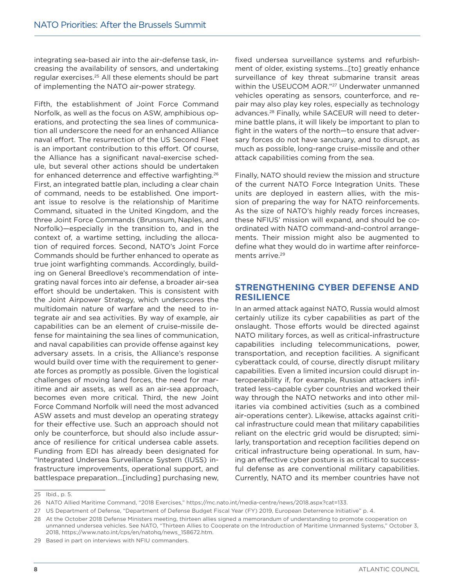integrating sea-based air into the air-defense task, increasing the availability of sensors, and undertaking regular exercises.25 All these elements should be part of implementing the NATO air-power strategy.

Fifth, the establishment of Joint Force Command Norfolk, as well as the focus on ASW, amphibious operations, and protecting the sea lines of communication all underscore the need for an enhanced Alliance naval effort. The resurrection of the US Second Fleet is an important contribution to this effort. Of course, the Alliance has a significant naval-exercise schedule, but several other actions should be undertaken for enhanced deterrence and effective warfighting.26 First, an integrated battle plan, including a clear chain of command, needs to be established. One important issue to resolve is the relationship of Maritime Command, situated in the United Kingdom, and the three Joint Force Commands (Brunssum, Naples, and Norfolk)—especially in the transition to, and in the context of, a wartime setting, including the allocation of required forces. Second, NATO's Joint Force Commands should be further enhanced to operate as true joint warfighting commands. Accordingly, building on General Breedlove's recommendation of integrating naval forces into air defense, a broader air-sea effort should be undertaken. This is consistent with the Joint Airpower Strategy, which underscores the multidomain nature of warfare and the need to integrate air and sea activities. By way of example, air capabilities can be an element of cruise-missile defense for maintaining the sea lines of communication, and naval capabilities can provide offense against key adversary assets. In a crisis, the Alliance's response would build over time with the requirement to generate forces as promptly as possible. Given the logistical challenges of moving land forces, the need for maritime and air assets, as well as an air-sea approach, becomes even more critical. Third, the new Joint Force Command Norfolk will need the most advanced ASW assets and must develop an operating strategy for their effective use. Such an approach should not only be counterforce, but should also include assurance of resilience for critical undersea cable assets. Funding from EDI has already been designated for "Integrated Undersea Surveillance System (IUSS) infrastructure improvements, operational support, and battlespace preparation…[including] purchasing new,

fixed undersea surveillance systems and refurbishment of older, existing systems…[to] greatly enhance surveillance of key threat submarine transit areas within the USEUCOM AOR."27 Underwater unmanned vehicles operating as sensors, counterforce, and repair may also play key roles, especially as technology advances.28 Finally, while SACEUR will need to determine battle plans, it will likely be important to plan to fight in the waters of the north—to ensure that adversary forces do not have sanctuary, and to disrupt, as much as possible, long-range cruise-missile and other attack capabilities coming from the sea.

Finally, NATO should review the mission and structure of the current NATO Force Integration Units. These units are deployed in eastern allies, with the mission of preparing the way for NATO reinforcements. As the size of NATO's highly ready forces increases, these NFIUS' mission will expand, and should be coordinated with NATO command-and-control arrangements. Their mission might also be augmented to define what they would do in wartime after reinforcements arrive.<sup>29</sup>

#### **STRENGTHENING CYBER DEFENSE AND RESILIENCE**

In an armed attack against NATO, Russia would almost certainly utilize its cyber capabilities as part of the onslaught. Those efforts would be directed against NATO military forces, as well as critical-infrastructure capabilities including telecommunications, power, transportation, and reception facilities. A significant cyberattack could, of course, directly disrupt military capabilities. Even a limited incursion could disrupt interoperability if, for example, Russian attackers infiltrated less-capable cyber countries and worked their way through the NATO networks and into other militaries via combined activities (such as a combined air-operations center). Likewise, attacks against critical infrastructure could mean that military capabilities reliant on the electric grid would be disrupted; similarly, transportation and reception facilities depend on critical infrastructure being operational. In sum, having an effective cyber posture is as critical to successful defense as are conventional military capabilities. Currently, NATO and its member countries have not

<sup>25</sup> Ibid., p. 5.

<sup>26</sup> NATO Allied Maritime Command, "2018 Exercises," https://mc.nato.int/media-centre/news/2018.aspx?cat=133.

<sup>27</sup> US Department of Defense, "Department of Defense Budget Fiscal Year (FY) 2019, European Deterrence Initiative" p. 4.

<sup>28</sup> At the October 2018 Defense Ministers meeting, thirteen allies signed a memorandum of understanding to promote cooperation on unmanned undersea vehicles. See NATO, "Thirteen Allies to Cooperate on the Introduction of Maritime Unmanned Systems," October 3, 2018, https://www.nato.int/cps/en/natohq/news\_158672.htm.

<sup>29</sup> Based in part on interviews with NFIU commanders.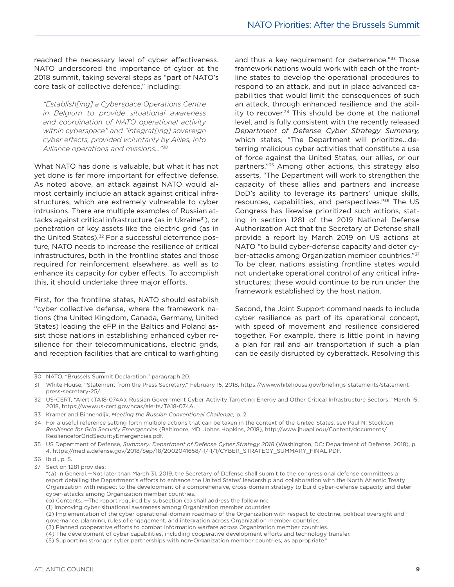reached the necessary level of cyber effectiveness. NATO underscored the importance of cyber at the 2018 summit, taking several steps as "part of NATO's core task of collective defence," including:

*"Establish[ing] a Cyberspace Operations Centre in Belgium to provide situational awareness and coordination of NATO operational activity within cyberspace" and "integrat[ing] sovereign cyber effects, provided voluntarily by Allies, into Alliance operations and missions…"30*

What NATO has done is valuable, but what it has not yet done is far more important for effective defense. As noted above, an attack against NATO would almost certainly include an attack against critical infrastructures, which are extremely vulnerable to cyber intrusions. There are multiple examples of Russian attacks against critical infrastructure (as in Ukraine<sup>31</sup>), or penetration of key assets like the electric grid (as in the United States).<sup>32</sup> For a successful deterrence posture, NATO needs to increase the resilience of critical infrastructures, both in the frontline states and those required for reinforcement elsewhere, as well as to enhance its capacity for cyber effects. To accomplish this, it should undertake three major efforts.

First, for the frontline states, NATO should establish "cyber collective defense, where the framework nations (the United Kingdom, Canada, Germany, United States) leading the eFP in the Baltics and Poland assist those nations in establishing enhanced cyber resilience for their telecommunications, electric grids, and reception facilities that are critical to warfighting

and thus a key requirement for deterrence."<sup>33</sup> Those framework nations would work with each of the frontline states to develop the operational procedures to respond to an attack, and put in place advanced capabilities that would limit the consequences of such an attack, through enhanced resilience and the ability to recover.34 This should be done at the national level, and is fully consistent with the recently released *Department of Defense Cyber Strategy Summary,*  which states, "The Department will prioritize…deterring malicious cyber activities that constitute a use of force against the United States, our allies, or our partners."35 Among other actions, this strategy also asserts, "The Department will work to strengthen the capacity of these allies and partners and increase DoD's ability to leverage its partners' unique skills, resources, capabilities, and perspectives."36 The US Congress has likewise prioritized such actions, stating in section 1281 of the 2019 National Defense Authorization Act that the Secretary of Defense shall provide a report by March 2019 on US actions at NATO "to build cyber-defense capacity and deter cyber-attacks among Organization member countries."37 To be clear, nations assisting frontline states would not undertake operational control of any critical infrastructures; these would continue to be run under the framework established by the host nation.

Second, the Joint Support command needs to include cyber resilience as part of its operational concept, with speed of movement and resilience considered together. For example, there is little point in having a plan for rail and air transportation if such a plan can be easily disrupted by cyberattack. Resolving this

<sup>30</sup> NATO, "Brussels Summit Declaration," paragraph 20.

<sup>31</sup> White House, "Statement from the Press Secretary," February 15, 2018, https://www.whitehouse.gov/briefings-statements/statementpress-secretary-25/.

<sup>32</sup> US-CERT, "Alert (TA18-074A): Russian Government Cyber Activity Targeting Energy and Other Critical Infrastructure Sectors," March 15, 2018, https://www.us-cert.gov/ncas/alerts/TA18-074A.

<sup>33</sup> Kramer and Binnendijk, *Meeting the Russian Conventional Challenge,* p. 2.

<sup>34</sup> For a useful reference setting forth multiple actions that can be taken in the context of the United States, see Paul N. Stockton, *Resilience for Grid Security Emergencies* (Baltimore, MD: Johns Hopkins, 2018), http://www.jhuapl.edu/Content/documents/ ResilienceforGridSecurityEmergencies.pdf.

<sup>35</sup> US Department of Defense, *Summary: Department of Defense Cyber Strategy 2018* (Washington, DC: Department of Defense, 2018), p. 4, https://media.defense.gov/2018/Sep/18/2002041658/-1/-1/1/CYBER\_STRATEGY\_SUMMARY\_FINAL.PDF.

<sup>36</sup> Ibid., p. 5.

<sup>37</sup> Section 1281 provides:

<sup>&</sup>quot;(a) In General.—Not later than March 31, 2019, the Secretary of Defense shall submit to the congressional defense committees a report detailing the Department's efforts to enhance the United States' leadership and collaboration with the North Atlantic Treaty Organization with respect to the development of a comprehensive, cross-domain strategy to build cyber-defense capacity and deter cyber-attacks among Organization member countries.

<sup>(</sup>b) Contents. —The report required by subsection (a) shall address the following:

<sup>(1)</sup> Improving cyber situational awareness among Organization member countries.

<sup>(2)</sup> Implementation of the cyber operational-domain roadmap of the Organization with respect to doctrine, political oversight and governance, planning, rules of engagement, and integration across Organization member countries.

<sup>(3)</sup> Planned cooperative efforts to combat information warfare across Organization member countries.

<sup>(4)</sup> The development of cyber capabilities, including cooperative development efforts and technology transfer.

<sup>(5)</sup> Supporting stronger cyber partnerships with non-Organization member countries, as appropriate."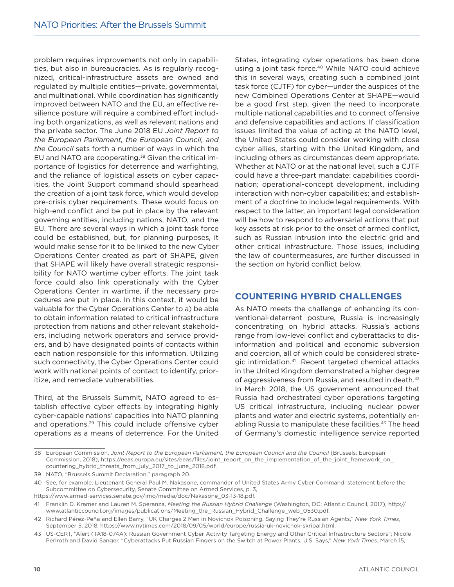problem requires improvements not only in capabilities, but also in bureaucracies. As is regularly recognized, critical-infrastructure assets are owned and regulated by multiple entities—private, governmental, and multinational. While coordination has significantly improved between NATO and the EU, an effective resilience posture will require a combined effort including both organizations, as well as relevant nations and the private sector. The June 2018 EU *Joint Report to the European Parliament, the European Council, and the Council* sets forth a number of ways in which the EU and NATO are cooperating.38 Given the critical importance of logistics for deterrence and warfighting, and the reliance of logistical assets on cyber capacities, the Joint Support command should spearhead the creation of a joint task force, which would develop pre-crisis cyber requirements. These would focus on high-end conflict and be put in place by the relevant governing entities, including nations, NATO, and the EU. There are several ways in which a joint task force could be established, but, for planning purposes, it would make sense for it to be linked to the new Cyber Operations Center created as part of SHAPE, given that SHAPE will likely have overall strategic responsibility for NATO wartime cyber efforts. The joint task force could also link operationally with the Cyber Operations Center in wartime, if the necessary procedures are put in place. In this context, it would be valuable for the Cyber Operations Center to a) be able to obtain information related to critical infrastructure protection from nations and other relevant stakeholders, including network operators and service providers, and b) have designated points of contacts within each nation responsible for this information. Utilizing such connectivity, the Cyber Operations Center could work with national points of contact to identify, prioritize, and remediate vulnerabilities.

Third, at the Brussels Summit, NATO agreed to establish effective cyber effects by integrating highly cyber-capable nations' capacities into NATO planning and operations.39 This could include offensive cyber operations as a means of deterrence. For the United

States, integrating cyber operations has been done using a joint task force.<sup>40</sup> While NATO could achieve this in several ways, creating such a combined joint task force (CJTF) for cyber—under the auspices of the new Combined Operations Center at SHAPE—would be a good first step, given the need to incorporate multiple national capabilities and to connect offensive and defensive capabilities and actions. If classification issues limited the value of acting at the NATO level, the United States could consider working with close cyber allies, starting with the United Kingdom, and including others as circumstances deem appropriate. Whether at NATO or at the national level, such a CJTF could have a three-part mandate: capabilities coordination; operational-concept development, including interaction with non-cyber capabilities; and establishment of a doctrine to include legal requirements. With respect to the latter, an important legal consideration will be how to respond to adversarial actions that put key assets at risk prior to the onset of armed conflict, such as Russian intrusion into the electric grid and other critical infrastructure. Those issues, including the law of countermeasures, are further discussed in the section on hybrid conflict below.

#### **COUNTERING HYBRID CHALLENGES**

As NATO meets the challenge of enhancing its conventional-deterrent posture, Russia is increasingly concentrating on hybrid attacks. Russia's actions range from low-level conflict and cyberattacks to disinformation and political and economic subversion and coercion, all of which could be considered strategic intimidation.41 Recent targeted chemical attacks in the United Kingdom demonstrated a higher degree of aggressiveness from Russia, and resulted in death.42 In March 2018, the US government announced that Russia had orchestrated cyber operations targeting US critical infrastructure, including nuclear power plants and water and electric systems, potentially enabling Russia to manipulate these facilities.<sup>43</sup> The head of Germany's domestic intelligence service reported

<sup>38</sup> European Commission, *Joint Report to the European Parliament, the European Council and the Council* (Brussels: European Commission, 2018), https://eeas.europa.eu/sites/eeas/files/joint\_report\_on\_the\_implementation\_of\_the\_joint\_framework\_on\_ countering\_hybrid\_threats\_from\_july\_2017\_to\_june\_2018.pdf.

<sup>39</sup> NATO, "Brussels Summit Declaration," paragraph 20.

<sup>40</sup> See, for example, Lieutenant General Paul M. Nakasone, commander of United States Army Cyber Command, statement before the Subcommittee on Cybersecurity, Senate Committee on Armed Services, p. 3,

https://www.armed-services.senate.gov/imo/media/doc/Nakasone\_03-13-18.pdf.

<sup>41</sup> Franklin D. Kramer and Lauren M. Speranza, *Meeting the Russian Hybrid Challenge* (Washington, DC: Atlantic Council, 2017), http:// www.atlanticcouncil.org/images/publications/Meeting\_the\_Russian\_Hybrid\_Challenge\_web\_0530.pdf.

<sup>42</sup> Richard Pérez-Peña and Ellen Barry, "UK Charges 2 Men in Novichok Poisoning, Saying They're Russian Agents," *New York Times*, September 5, 2018, https://www.nytimes.com/2018/09/05/world/europe/russia-uk-novichok-skripal.html.

<sup>43</sup> US-CERT, "Alert (TA18-074A): Russian Government Cyber Activity Targeting Energy and Other Critical Infrastructure Sectors"; Nicole Perlroth and David Sanger, "Cyberattacks Put Russian Fingers on the Switch at Power Plants, U.S. Says," *New York Times*, March 15,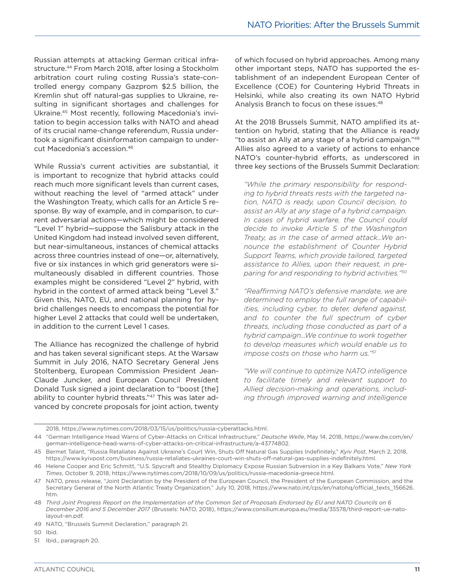Russian attempts at attacking German critical infrastructure.44 From March 2018, after losing a Stockholm arbitration court ruling costing Russia's state-controlled energy company Gazprom \$2.5 billion, the Kremlin shut off natural-gas supplies to Ukraine, resulting in significant shortages and challenges for Ukraine.45 Most recently, following Macedonia's invitation to begin accession talks with NATO and ahead of its crucial name-change referendum, Russia undertook a significant disinformation campaign to undercut Macedonia's accession.46

While Russia's current activities are substantial, it is important to recognize that hybrid attacks could reach much more significant levels than current cases, without reaching the level of "armed attack" under the Washington Treaty, which calls for an Article 5 response. By way of example, and in comparison, to current adversarial actions—which might be considered "Level 1" hybrid—suppose the Salisbury attack in the United Kingdom had instead involved seven different, but near-simultaneous, instances of chemical attacks across three countries instead of one—or, alternatively, five or six instances in which grid generators were simultaneously disabled in different countries. Those examples might be considered "Level 2" hybrid, with hybrid in the context of armed attack being "Level 3." Given this, NATO, EU, and national planning for hybrid challenges needs to encompass the potential for higher Level 2 attacks that could well be undertaken, in addition to the current Level 1 cases.

The Alliance has recognized the challenge of hybrid and has taken several significant steps. At the Warsaw Summit in July 2016, NATO Secretary General Jens Stoltenberg, European Commission President Jean-Claude Juncker, and European Council President Donald Tusk signed a joint declaration to "boost [the] ability to counter hybrid threats."47 This was later advanced by concrete proposals for joint action, twenty

of which focused on hybrid approaches. Among many other important steps, NATO has supported the establishment of an independent European Center of Excellence (COE) for Countering Hybrid Threats in Helsinki, while also creating its own NATO Hybrid Analysis Branch to focus on these issues.48

At the 2018 Brussels Summit, NATO amplified its attention on hybrid, stating that the Alliance is ready "to assist an Ally at any stage of a hybrid campaign."49 Allies also agreed to a variety of actions to enhance NATO's counter-hybrid efforts, as underscored in three key sections of the Brussels Summit Declaration:

*"While the primary responsibility for responding to hybrid threats rests with the targeted nation, NATO is ready, upon Council decision, to assist an Ally at any stage of a hybrid campaign. In cases of hybrid warfare, the Council could decide to invoke Article 5 of the Washington Treaty, as in the case of armed attack…We announce the establishment of Counter Hybrid Support Teams, which provide tailored, targeted assistance to Allies, upon their request, in preparing for and responding to hybrid activities."50*

*"Reaffirming NATO's defensive mandate, we are determined to employ the full range of capabilities, including cyber, to deter, defend against, and to counter the full spectrum of cyber threats, including those conducted as part of a hybrid campaign…We continue to work together to develop measures which would enable us to impose costs on those who harm us."51*

*"We will continue to optimize NATO intelligence to facilitate timely and relevant support to Allied decision-making and operations, including through improved warning and intelligence* 

50 Ibid.

51 Ibid., paragraph 20.

<sup>2018,</sup> https://www.nytimes.com/2018/03/15/us/politics/russia-cyberattacks.html.

<sup>44</sup> "German Intelligence Head Warns of Cyber-Attacks on Critical Infrastructure," *Deutsche Welle*, May 14, 2018, https://www.dw.com/en/ german-intelligence-head-warns-of-cyber-attacks-on-critical-infrastructure/a-43774802.

<sup>45</sup> Bermet Talant, "Russia Retaliates Against Ukraine's Court Win, Shuts Off Natural Gas Supplies Indefinitely," *Kyiv Post*, March 2, 2018, https://www.kyivpost.com/business/russia-retaliates-ukraines-court-win-shuts-off-natural-gas-supplies-indefinitely.html.

<sup>46</sup> Helene Cooper and Eric Schmitt, "U.S. Spycraft and Stealthy Diplomacy Expose Russian Subversion in a Key Balkans Vote," *New York Times*, October 9, 2018, https://www.nytimes.com/2018/10/09/us/politics/russia-macedonia-greece.html.

<sup>47</sup> NATO, press release, "Joint Declaration by the President of the European Council, the President of the European Commission, and the Secretary General of the North Atlantic Treaty Organization," July 10, 2018, https://www.nato.int/cps/en/natohq/official\_texts\_156626. htm.

<sup>48</sup> *Third Joint Progress Report on the Implementation of the Common Set of Proposals Endorsed by EU and NATO Councils on 6 December 2016 and 5 December 2017* (Brussels: NATO, 2018), https://www.consilium.europa.eu/media/35578/third-report-ue-natolayout-en.pdf.

<sup>49</sup> NATO, "Brussels Summit Declaration," paragraph 21.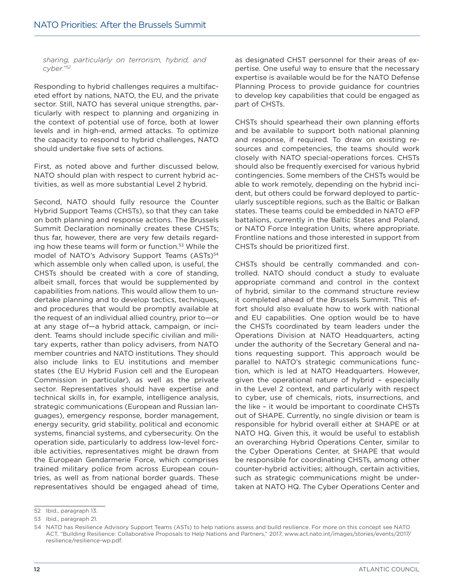*sharing, particularly on terrorism, hybrid, and cyber."52*

Responding to hybrid challenges requires a multifaceted effort by nations, NATO, the EU, and the private sector. Still, NATO has several unique strengths, particularly with respect to planning and organizing in the context of potential use of force, both at lower levels and in high-end, armed attacks. To optimize the capacity to respond to hybrid challenges, NATO should undertake five sets of actions.

First, as noted above and further discussed below, NATO should plan with respect to current hybrid activities, as well as more substantial Level 2 hybrid.

Second, NATO should fully resource the Counter Hybrid Support Teams (CHSTs), so that they can take on both planning and response actions. The Brussels Summit Declaration nominally creates these CHSTs; thus far, however, there are very few details regarding how these teams will form or function.<sup>53</sup> While the model of NATO's Advisory Support Teams (ASTs)<sup>54</sup> which assemble only when called upon, is useful, the CHSTs should be created with a core of standing, albeit small, forces that would be supplemented by capabilities from nations. This would allow them to undertake planning and to develop tactics, techniques, and procedures that would be promptly available at the request of an individual allied country, prior to—or at any stage of—a hybrid attack, campaign, or incident. Teams should include specific civilian and military experts, rather than policy advisers, from NATO member countries and NATO institutions. They should also include links to EU institutions and member states (the EU Hybrid Fusion cell and the European Commission in particular), as well as the private sector. Representatives should have expertise and technical skills in, for example, intelligence analysis, strategic communications (European and Russian languages), emergency response, border management, energy security, grid stability, political and economic systems, financial systems, and cybersecurity. On the operation side, particularly to address low-level forcible activities, representatives might be drawn from the European Gendarmerie Force, which comprises trained military police from across European countries, as well as from national border guards. These representatives should be engaged ahead of time,

as designated CHST personnel for their areas of expertise. One useful way to ensure that the necessary expertise is available would be for the NATO Defense Planning Process to provide guidance for countries to develop key capabilities that could be engaged as part of CHSTs.

CHSTs should spearhead their own planning efforts and be available to support both national planning and response, if required. To draw on existing resources and competencies, the teams should work closely with NATO special-operations forces. CHSTs should also be frequently exercised for various hybrid contingencies. Some members of the CHSTs would be able to work remotely, depending on the hybrid incident, but others could be forward deployed to particularly susceptible regions, such as the Baltic or Balkan states. These teams could be embedded in NATO eFP battalions, currently in the Baltic States and Poland, or NATO Force Integration Units, where appropriate. Frontline nations and those interested in support from CHSTs should be prioritized first.

CHSTs should be centrally commanded and controlled. NATO should conduct a study to evaluate appropriate command and control in the context of hybrid, similar to the command structure review it completed ahead of the Brussels Summit. This effort should also evaluate how to work with national and EU capabilities. One option would be to have the CHSTs coordinated by team leaders under the Operations Division at NATO Headquarters, acting under the authority of the Secretary General and nations requesting support. This approach would be parallel to NATO's strategic communications function, which is led at NATO Headquarters. However, given the operational nature of hybrid – especially in the Level 2 context, and particularly with respect to cyber, use of chemicals, riots, insurrections, and the like – it would be important to coordinate CHSTs out of SHAPE. Currently, no single division or team is responsible for hybrid overall either at SHAPE or at NATO HQ. Given this, it would be useful to establish an overarching Hybrid Operations Center, similar to the Cyber Operations Center, at SHAPE that would be responsible for coordinating CHSTs, among other counter-hybrid activities; although, certain activities, such as strategic communications might be undertaken at NATO HQ. The Cyber Operations Center and

<sup>52</sup> Ibid., paragraph 13.

<sup>53</sup> Ibid., paragraph 21.

<sup>54</sup> NATO has Resilience Advisory Support Teams (ASTs) to help nations assess and build resilience. For more on this concept see NATO ACT, "Building Resilience: Collaborative Proposals to Help Nations and Partners," 2017, www.act.nato.int/images/stories/events/2017/ resilience/resilience-wp.pdf.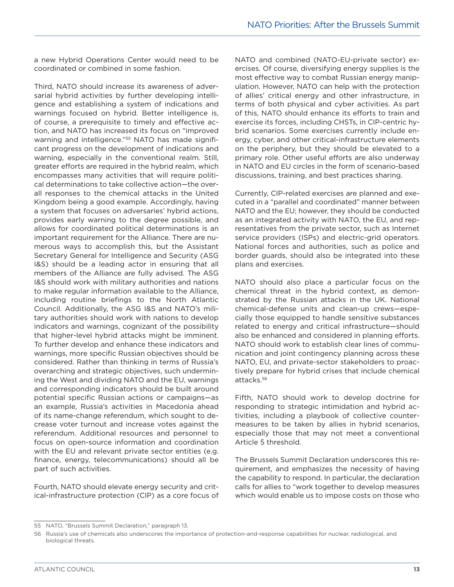a new Hybrid Operations Center would need to be coordinated or combined in some fashion.

Third, NATO should increase its awareness of adversarial hybrid activities by further developing intelligence and establishing a system of indications and warnings focused on hybrid. Better intelligence is, of course, a prerequisite to timely and effective action, and NATO has increased its focus on "improved warning and intelligence."<sup>55</sup> NATO has made significant progress on the development of indications and warning, especially in the conventional realm. Still, greater efforts are required in the hybrid realm, which encompasses many activities that will require political determinations to take collective action—the overall responses to the chemical attacks in the United Kingdom being a good example. Accordingly, having a system that focuses on adversaries' hybrid actions, provides early warning to the degree possible, and allows for coordinated political determinations is an important requirement for the Alliance. There are numerous ways to accomplish this, but the Assistant Secretary General for Intelligence and Security (ASG I&S) should be a leading actor in ensuring that all members of the Alliance are fully advised. The ASG I&S should work with military authorities and nations to make regular information available to the Alliance, including routine briefings to the North Atlantic Council. Additionally, the ASG I&S and NATO's military authorities should work with nations to develop indicators and warnings, cognizant of the possibility that higher-level hybrid attacks might be imminent. To further develop and enhance these indicators and warnings, more specific Russian objectives should be considered. Rather than thinking in terms of Russia's overarching and strategic objectives, such undermining the West and dividing NATO and the EU, warnings and corresponding indicators should be built around potential specific Russian actions or campaigns—as an example, Russia's activities in Macedonia ahead of its name-change referendum, which sought to decrease voter turnout and increase votes against the referendum. Additional resources and personnel to focus on open-source information and coordination with the EU and relevant private sector entities (e.g. finance, energy, telecommunications) should all be part of such activities.

Fourth, NATO should elevate energy security and critical-infrastructure protection (CIP) as a core focus of NATO and combined (NATO-EU-private sector) exercises. Of course, diversifying energy supplies is the most effective way to combat Russian energy manipulation. However, NATO can help with the protection of allies' critical energy and other infrastructure, in terms of both physical and cyber activities. As part of this, NATO should enhance its efforts to train and exercise its forces, including CHSTs, in CIP-centric hybrid scenarios. Some exercises currently include energy, cyber, and other critical-infrastructure elements on the periphery, but they should be elevated to a primary role. Other useful efforts are also underway in NATO and EU circles in the form of scenario-based discussions, training, and best practices sharing.

Currently, CIP-related exercises are planned and executed in a "parallel and coordinated" manner between NATO and the EU; however, they should be conducted as an integrated activity with NATO, the EU, and representatives from the private sector, such as Internet service providers (ISPs) and electric-grid operators. National forces and authorities, such as police and border guards, should also be integrated into these plans and exercises.

NATO should also place a particular focus on the chemical threat in the hybrid context, as demonstrated by the Russian attacks in the UK. National chemical-defense units and clean-up crews—especially those equipped to handle sensitive substances related to energy and critical infrastructure—should also be enhanced and considered in planning efforts. NATO should work to establish clear lines of communication and joint contingency planning across these NATO, EU, and private-sector stakeholders to proactively prepare for hybrid crises that include chemical attacks.56

Fifth, NATO should work to develop doctrine for responding to strategic intimidation and hybrid activities, including a playbook of collective countermeasures to be taken by allies in hybrid scenarios, especially those that may not meet a conventional Article 5 threshold.

The Brussels Summit Declaration underscores this requirement, and emphasizes the necessity of having the capability to respond. In particular, the declaration calls for allies to "work together to develop measures which would enable us to impose costs on those who

<sup>55</sup> NATO, "Brussels Summit Declaration," paragraph 13.

<sup>56</sup> Russia's use of chemicals also underscores the importance of protection-and-response capabilities for nuclear, radiological, and biological threats.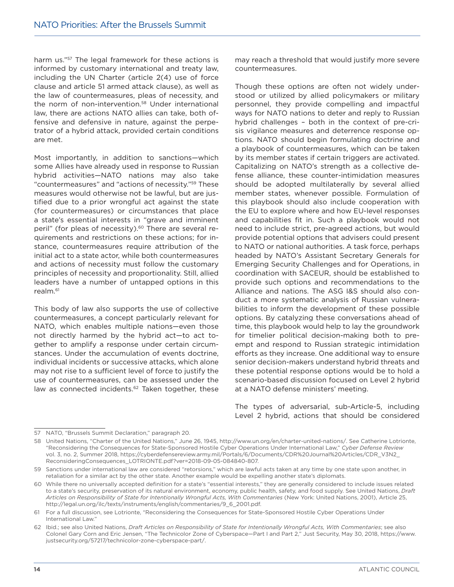harm us."<sup>57</sup> The legal framework for these actions is informed by customary international and treaty law, including the UN Charter (article 2(4) use of force clause and article 51 armed attack clause), as well as the law of countermeasures, pleas of necessity, and the norm of non-intervention.<sup>58</sup> Under international law, there are actions NATO allies can take, both offensive and defensive in nature, against the perpetrator of a hybrid attack, provided certain conditions are met.

Most importantly, in addition to sanctions—which some Allies have already used in response to Russian hybrid activities—NATO nations may also take "countermeasures" and "actions of necessity."59 These measures would otherwise not be lawful, but are justified due to a prior wrongful act against the state (for countermeasures) or circumstances that place a state's essential interests in "grave and imminent peril" (for pleas of necessity).<sup>60</sup> There are several requirements and restrictions on these actions; for instance, countermeasures require attribution of the initial act to a state actor, while both countermeasures and actions of necessity must follow the customary principles of necessity and proportionality. Still, allied leaders have a number of untapped options in this realm.61

This body of law also supports the use of collective countermeasures, a concept particularly relevant for NATO, which enables multiple nations—even those not directly harmed by the hybrid act—to act together to amplify a response under certain circumstances. Under the accumulation of events doctrine, individual incidents or successive attacks, which alone may not rise to a sufficient level of force to justify the use of countermeasures, can be assessed under the law as connected incidents.<sup>62</sup> Taken together, these may reach a threshold that would justify more severe countermeasures.

Though these options are often not widely understood or utilized by allied policymakers or military personnel, they provide compelling and impactful ways for NATO nations to deter and reply to Russian hybrid challenges – both in the context of pre-crisis vigilance measures and deterrence response options. NATO should begin formulating doctrine and a playbook of countermeasures, which can be taken by its member states if certain triggers are activated. Capitalizing on NATO's strength as a collective defense alliance, these counter-intimidation measures should be adopted multilaterally by several allied member states, whenever possible. Formulation of this playbook should also include cooperation with the EU to explore where and how EU-level responses and capabilities fit in. Such a playbook would not need to include strict, pre-agreed actions, but would provide potential options that advisers could present to NATO or national authorities. A task force, perhaps headed by NATO's Assistant Secretary Generals for Emerging Security Challenges and for Operations, in coordination with SACEUR, should be established to provide such options and recommendations to the Alliance and nations. The ASG I&S should also conduct a more systematic analysis of Russian vulnerabilities to inform the development of these possible options. By catalyzing these conversations ahead of time, this playbook would help to lay the groundwork for timelier political decision-making both to preempt and respond to Russian strategic intimidation efforts as they increase. One additional way to ensure senior decision-makers understand hybrid threats and these potential response options would be to hold a scenario-based discussion focused on Level 2 hybrid at a NATO defense ministers' meeting.

The types of adversarial, sub-Article-5, including Level 2 hybrid, actions that should be considered

<sup>57</sup> NATO, "Brussels Summit Declaration," paragraph 20.

<sup>58</sup> United Nations, "Charter of the United Nations," June 26, 1945, http://www.un.org/en/charter-united-nations/. See Catherine Lotrionte, "Reconsidering the Consequences for State-Sponsored Hostile Cyber Operations Under International Law," *Cyber Defense Review*  vol. 3, no. 2, Summer 2018, https://cyberdefensereview.army.mil/Portals/6/Documents/CDR%20Journal%20Articles/CDR\_V3N2\_ ReconsideringConsequences\_LOTRIONTE.pdf?ver=2018-09-05-084840-807.

<sup>59</sup> Sanctions under international law are considered "retorsions," which are lawful acts taken at any time by one state upon another, in retaliation for a similar act by the other state. Another example would be expelling another state's diplomats.

<sup>60</sup> While there no universally accepted definition for a state's "essential interests," they are generally considered to include issues related to a state's security, preservation of its natural environment, economy, public health, safety, and food supply. See United Nations, *Draft Articles on Responsibility of State for Intentionally Wrongful Acts, With Commentaries* (New York: United Nations, 2001), Article 25, http://legal.un.org/ilc/texts/instruments/english/commentaries/9\_6\_2001.pdf.

<sup>61</sup> For a full discussion, see Lotrionte, "Reconsidering the Consequences for State-Sponsored Hostile Cyber Operations Under International Law."

<sup>62</sup> Ibid.; see also United Nations, *Draft Articles on Responsibility of State for Intentionally Wrongful Acts, With Commentaries*; see also Colonel Gary Corn and Eric Jensen, "The Technicolor Zone of Cyberspace—Part I and Part 2," Just Security, May 30, 2018, https://www. justsecurity.org/57217/technicolor-zone-cyberspace-part/.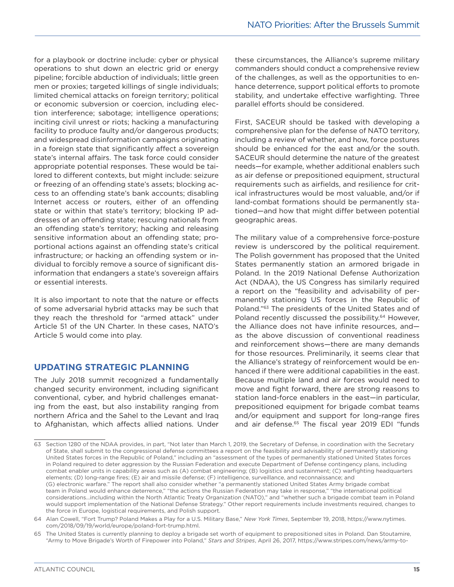for a playbook or doctrine include: cyber or physical operations to shut down an electric grid or energy pipeline; forcible abduction of individuals; little green men or proxies; targeted killings of single individuals; limited chemical attacks on foreign territory; political or economic subversion or coercion, including election interference; sabotage; intelligence operations; inciting civil unrest or riots; hacking a manufacturing facility to produce faulty and/or dangerous products; and widespread disinformation campaigns originating in a foreign state that significantly affect a sovereign state's internal affairs. The task force could consider appropriate potential responses. These would be tailored to different contexts, but might include: seizure or freezing of an offending state's assets; blocking access to an offending state's bank accounts; disabling Internet access or routers, either of an offending state or within that state's territory; blocking IP addresses of an offending state; rescuing nationals from an offending state's territory; hacking and releasing sensitive information about an offending state; proportional actions against an offending state's critical infrastructure; or hacking an offending system or individual to forcibly remove a source of significant disinformation that endangers a state's sovereign affairs or essential interests.

It is also important to note that the nature or effects of some adversarial hybrid attacks may be such that they reach the threshold for "armed attack" under Article 51 of the UN Charter. In these cases, NATO's Article 5 would come into play.

#### **UPDATING STRATEGIC PLANNING**

The July 2018 summit recognized a fundamentally changed security environment, including significant conventional, cyber, and hybrid challenges emanating from the east, but also instability ranging from northern Africa and the Sahel to the Levant and Iraq to Afghanistan, which affects allied nations. Under these circumstances, the Alliance's supreme military commanders should conduct a comprehensive review of the challenges, as well as the opportunities to enhance deterrence, support political efforts to promote stability, and undertake effective warfighting. Three parallel efforts should be considered.

First, SACEUR should be tasked with developing a comprehensive plan for the defense of NATO territory, including a review of whether, and how, force postures should be enhanced for the east and/or the south. SACEUR should determine the nature of the greatest needs—for example, whether additional enablers such as air defense or prepositioned equipment, structural requirements such as airfields, and resilience for critical infrastructures would be most valuable, and/or if land-combat formations should be permanently stationed—and how that might differ between potential geographic areas.

The military value of a comprehensive force-posture review is underscored by the political requirement. The Polish government has proposed that the United States permanently station an armored brigade in Poland. In the 2019 National Defense Authorization Act (NDAA), the US Congress has similarly required a report on the "feasibility and advisability of permanently stationing US forces in the Republic of Poland."63 The presidents of the United States and of Poland recently discussed the possibility.<sup>64</sup> However, the Alliance does not have infinite resources, and as the above discussion of conventional readiness and reinforcement shows—there are many demands for those resources. Preliminarily, it seems clear that the Alliance's strategy of reinforcement would be enhanced if there were additional capabilities in the east. Because multiple land and air forces would need to move and fight forward, there are strong reasons to station land-force enablers in the east—in particular, prepositioned equipment for brigade combat teams and/or equipment and support for long-range fires and air defense.<sup>65</sup> The fiscal year 2019 EDI "funds

<sup>63</sup> Section 1280 of the NDAA provides, in part, "Not later than March 1, 2019, the Secretary of Defense, in coordination with the Secretary of State, shall submit to the congressional defense committees a report on the feasibility and advisability of permanently stationing United States forces in the Republic of Poland," including an "assessment of the types of permanently stationed United States forces in Poland required to deter aggression by the Russian Federation and execute Department of Defense contingency plans, including combat enabler units in capability areas such as (A) combat engineering; (B) logistics and sustainment; (C) warfighting headquarters elements; (D) long-range fires; (E) air and missile defense; (F) intelligence, surveillance, and reconnaissance; and (G) electronic warfare." The report shall also consider whether "a permanently stationed United States Army brigade combat team in Poland would enhance deterrence," "the actions the Russian Federation may take in response," "the international political considerations…including within the North Atlantic Treaty Organization (NATO)," and "whether such a brigade combat team in Poland would support implementation of the National Defense Strategy." Other report requirements include investments required, changes to the force in Europe, logistical requirements, and Polish support.

<sup>64</sup> Alan Cowell, "Fort Trump? Poland Makes a Play for a U.S. Military Base," *New York Times*, September 19, 2018, https://www.nytimes. com/2018/09/19/world/europe/poland-fort-trump.html.

<sup>65</sup> The United States is currently planning to deploy a brigade set worth of equipment to prepositioned sites in Poland. Dan Stoutamire, "Army to Move Brigade's Worth of Firepower into Poland," *Stars and Stripes*, April 26, 2017, https://www.stripes.com/news/army-to-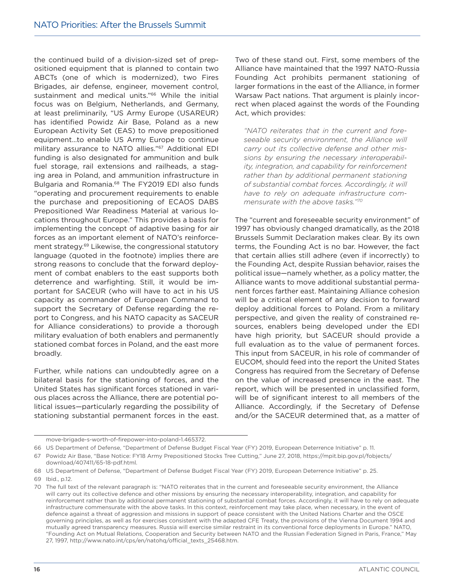the continued build of a division-sized set of prepositioned equipment that is planned to contain two ABCTs (one of which is modernized), two Fires Brigades, air defense, engineer, movement control, sustainment and medical units."66 While the initial focus was on Belgium, Netherlands, and Germany, at least preliminarily, "US Army Europe (USAREUR) has identified Powidz Air Base, Poland as a new European Activity Set (EAS) to move prepositioned equipment…to enable US Army Europe to continue military assurance to NATO allies."67 Additional EDI funding is also designated for ammunition and bulk fuel storage, rail extensions and railheads, a staging area in Poland, and ammunition infrastructure in Bulgaria and Romania.<sup>68</sup> The FY2019 EDI also funds "operating and procurement requirements to enable the purchase and prepositioning of ECAOS DABS Prepositioned War Readiness Material at various locations throughout Europe." This provides a basis for implementing the concept of adaptive basing for air forces as an important element of NATO's reinforcement strategy.<sup>69</sup> Likewise, the congressional statutory language (quoted in the footnote) implies there are strong reasons to conclude that the forward deployment of combat enablers to the east supports both deterrence and warfighting. Still, it would be important for SACEUR (who will have to act in his US capacity as commander of European Command to support the Secretary of Defense regarding the report to Congress, and his NATO capacity as SACEUR for Alliance considerations) to provide a thorough military evaluation of both enablers and permanently stationed combat forces in Poland, and the east more broadly.

Further, while nations can undoubtedly agree on a bilateral basis for the stationing of forces, and the United States has significant forces stationed in various places across the Alliance, there are potential political issues—particularly regarding the possibility of stationing substantial permanent forces in the east.

Two of these stand out. First, some members of the Alliance have maintained that the 1997 NATO-Russia Founding Act prohibits permanent stationing of larger formations in the east of the Alliance, in former Warsaw Pact nations. That argument is plainly incorrect when placed against the words of the Founding Act, which provides:

*"NATO reiterates that in the current and foreseeable security environment, the Alliance will carry out its collective defense and other missions by ensuring the necessary interoperability, integration, and capability for reinforcement rather than by additional permanent stationing of substantial combat forces. Accordingly, it will have to rely on adequate infrastructure commensurate with the above tasks."70*

The "current and foreseeable security environment" of 1997 has obviously changed dramatically, as the 2018 Brussels Summit Declaration makes clear. By its own terms, the Founding Act is no bar. However, the fact that certain allies still adhere (even if incorrectly) to the Founding Act, despite Russian behavior, raises the political issue—namely whether, as a policy matter, the Alliance wants to move additional substantial permanent forces farther east. Maintaining Alliance cohesion will be a critical element of any decision to forward deploy additional forces to Poland. From a military perspective, and given the reality of constrained resources, enablers being developed under the EDI have high priority, but SACEUR should provide a full evaluation as to the value of permanent forces. This input from SACEUR, in his role of commander of EUCOM, should feed into the report the United States Congress has required from the Secretary of Defense on the value of increased presence in the east. The report, which will be presented in unclassified form, will be of significant interest to all members of the Alliance. Accordingly, if the Secretary of Defense and/or the SACEUR determined that, as a matter of

move-brigade-s-worth-of-firepower-into-poland-1.465372.

<sup>66</sup> US Department of Defense, "Department of Defense Budget Fiscal Year (FY) 2019, European Deterrence Initiative" p. 11.

<sup>67</sup> Powidz Air Base, "Base Notice: FY18 Army Prepositioned Stocks Tree Cutting," June 27, 2018, https://mpit.bip.gov.pl/fobjects/ download/407411/65-18-pdf.html.

<sup>68</sup> US Department of Defense, "Department of Defense Budget Fiscal Year (FY) 2019, European Deterrence Initiative" p. 25. 69 Ibid., p.12.

<sup>70</sup> The full text of the relevant paragraph is: "NATO reiterates that in the current and foreseeable security environment, the Alliance will carry out its collective defence and other missions by ensuring the necessary interoperability, integration, and capability for reinforcement rather than by additional permanent stationing of substantial combat forces. Accordingly, it will have to rely on adequate infrastructure commensurate with the above tasks. In this context, reinforcement may take place, when necessary, in the event of defence against a threat of aggression and missions in support of peace consistent with the United Nations Charter and the OSCE governing principles, as well as for exercises consistent with the adapted CFE Treaty, the provisions of the Vienna Document 1994 and mutually agreed transparency measures. Russia will exercise similar restraint in its conventional force deployments in Europe." NATO, "Founding Act on Mutual Relations, Cooperation and Security between NATO and the Russian Federation Signed in Paris, France," May 27, 1997, http://www.nato.int/cps/en/natohq/official\_texts\_25468.htm.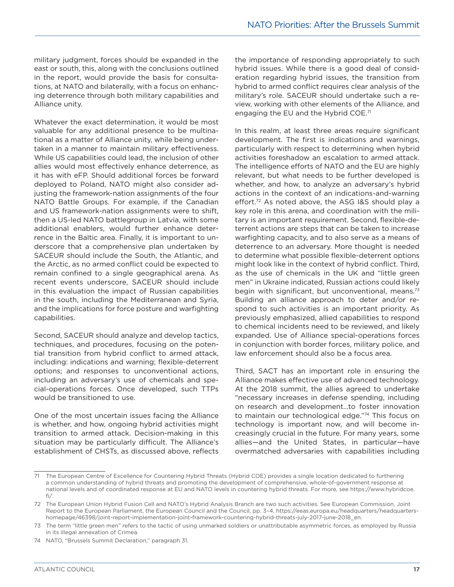military judgment, forces should be expanded in the east or south, this, along with the conclusions outlined in the report, would provide the basis for consultations, at NATO and bilaterally, with a focus on enhancing deterrence through both military capabilities and Alliance unity.

Whatever the exact determination, it would be most valuable for any additional presence to be multinational as a matter of Alliance unity, while being undertaken in a manner to maintain military effectiveness. While US capabilities could lead, the inclusion of other allies would most effectively enhance deterrence, as it has with eFP. Should additional forces be forward deployed to Poland, NATO might also consider adjusting the framework-nation assignments of the four NATO Battle Groups. For example, if the Canadian and US framework-nation assignments were to shift, then a US-led NATO battlegroup in Latvia, with some additional enablers, would further enhance deterrence in the Baltic area. Finally, it is important to underscore that a comprehensive plan undertaken by SACEUR should include the South, the Atlantic, and the Arctic, as no armed conflict could be expected to remain confined to a single geographical arena. As recent events underscore, SACEUR should include in this evaluation the impact of Russian capabilities in the south, including the Mediterranean and Syria, and the implications for force posture and warfighting capabilities.

Second, SACEUR should analyze and develop tactics, techniques, and procedures, focusing on the potential transition from hybrid conflict to armed attack, including: indications and warning; flexible-deterrent options; and responses to unconventional actions, including an adversary's use of chemicals and special-operations forces. Once developed, such TTPs would be transitioned to use.

One of the most uncertain issues facing the Alliance is whether, and how, ongoing hybrid activities might transition to armed attack. Decision-making in this situation may be particularly difficult. The Alliance's establishment of CHSTs, as discussed above, reflects

the importance of responding appropriately to such hybrid issues. While there is a good deal of consideration regarding hybrid issues, the transition from hybrid to armed conflict requires clear analysis of the military's role. SACEUR should undertake such a review, working with other elements of the Alliance, and engaging the EU and the Hybrid COE.<sup>71</sup>

In this realm, at least three areas require significant development. The first is indications and warnings, particularly with respect to determining when hybrid activities foreshadow an escalation to armed attack. The intelligence efforts of NATO and the EU are highly relevant, but what needs to be further developed is whether, and how, to analyze an adversary's hybrid actions in the context of an indications-and-warning effort.<sup>72</sup> As noted above, the ASG I&S should play a key role in this arena, and coordination with the military is an important requirement. Second, flexible-deterrent actions are steps that can be taken to increase warfighting capacity, and to also serve as a means of deterrence to an adversary. More thought is needed to determine what possible flexible-deterrent options might look like in the context of hybrid conflict. Third, as the use of chemicals in the UK and "little green men" in Ukraine indicated, Russian actions could likely begin with significant, but unconventional, means.73 Building an alliance approach to deter and/or respond to such activities is an important priority. As previously emphasized, allied capabilities to respond to chemical incidents need to be reviewed, and likely expanded. Use of Alliance special-operations forces in conjunction with border forces, military police, and law enforcement should also be a focus area.

Third, SACT has an important role in ensuring the Alliance makes effective use of advanced technology. At the 2018 summit, the allies agreed to undertake "necessary increases in defense spending, including on research and development…to foster innovation to maintain our technological edge."74 This focus on technology is important now, and will become increasingly crucial in the future. For many years, some allies—and the United States, in particular—have overmatched adversaries with capabilities including

<sup>71</sup> The European Centre of Excellence for Countering Hybrid Threats (Hybrid COE) provides a single location dedicated to furthering a common understanding of hybrid threats and promoting the development of comprehensive, whole-of-government response at national levels and of coordinated response at EU and NATO levels in countering hybrid threats. For more, see https://www.hybridcoe. fi/.

<sup>72</sup> The European Union Hybrid Fusion Cell and NATO's Hybrid Analysis Branch are two such activities. See European Commission, Joint Report to the European Parliament, the European Council and the Council, pp. 3–4, https://eeas.europa.eu/headquarters/headquartershomepage/46398/joint-report-implementation-joint-framework-countering-hybrid-threats-july-2017-june-2018\_en.

<sup>73</sup> The term "little green men" refers to the tactic of using unmarked soldiers or unattributable asymmetric forces, as employed by Russia in its illegal annexation of Crimea.

<sup>74</sup> NATO, "Brussels Summit Declaration," paragraph 31.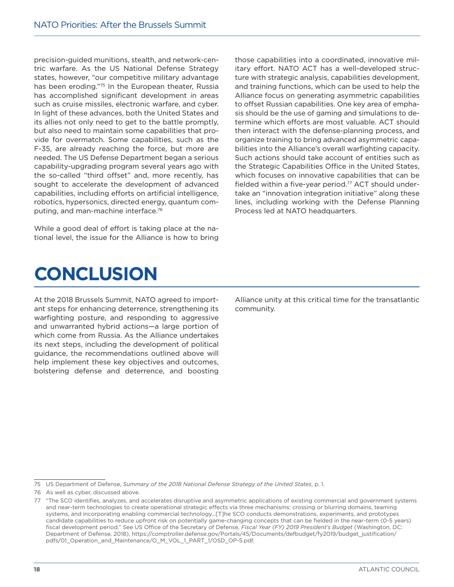precision-guided munitions, stealth, and network-centric warfare. As the US National Defense Strategy states, however, "our competitive military advantage has been eroding."75 In the European theater, Russia has accomplished significant development in areas such as cruise missiles, electronic warfare, and cyber. In light of these advances, both the United States and its allies not only need to get to the battle promptly, but also need to maintain some capabilities that provide for overmatch. Some capabilities, such as the F-35, are already reaching the force, but more are needed. The US Defense Department began a serious capability-upgrading program several years ago with the so-called "third offset" and, more recently, has sought to accelerate the development of advanced capabilities, including efforts on artificial intelligence, robotics, hypersonics, directed energy, quantum computing, and man-machine interface.76

While a good deal of effort is taking place at the national level, the issue for the Alliance is how to bring

those capabilities into a coordinated, innovative military effort. NATO ACT has a well-developed structure with strategic analysis, capabilities development, and training functions, which can be used to help the Alliance focus on generating asymmetric capabilities to offset Russian capabilities. One key area of emphasis should be the use of gaming and simulations to determine which efforts are most valuable. ACT should then interact with the defense-planning process, and organize training to bring advanced asymmetric capabilities into the Alliance's overall warfighting capacity. Such actions should take account of entities such as the Strategic Capabilities Office in the United States, which focuses on innovative capabilities that can be fielded within a five-year period.77 ACT should undertake an "innovation integration initiative" along these lines, including working with the Defense Planning Process led at NATO headquarters.

## **CONCLUSION**

At the 2018 Brussels Summit, NATO agreed to important steps for enhancing deterrence, strengthening its warfighting posture, and responding to aggressive and unwarranted hybrid actions—a large portion of which come from Russia. As the Alliance undertakes its next steps, including the development of political guidance, the recommendations outlined above will help implement these key objectives and outcomes, bolstering defense and deterrence, and boosting Alliance unity at this critical time for the transatlantic community.

75 US Department of Defense, *Summary of the 2018 National Defense Strategy of the United States*, p. 1.

<sup>76</sup> As well as cyber, discussed above.

<sup>77</sup> "The SCO identifies, analyzes, and accelerates disruptive and asymmetric applications of existing commercial and government systems and near-term technologies to create operational strategic effects via three mechanisms: crossing or blurring domains, teaming systems, and incorporating enabling commercial technology…[T]he SCO conducts demonstrations, experiments, and prototypes candidate capabilities to reduce upfront risk on potentially game-changing concepts that can be fielded in the near-term (0-5 years) fiscal development period." See US Office of the Secretary of Defense, *Fiscal Year (FY) 2019 President's Budget* (Washington, DC: Department of Defense, 2018), https://comptroller.defense.gov/Portals/45/Documents/defbudget/fy2019/budget\_justification/ pdfs/01\_Operation\_and\_Maintenance/O\_M\_VOL\_1\_PART\_1/OSD\_OP-5.pdf.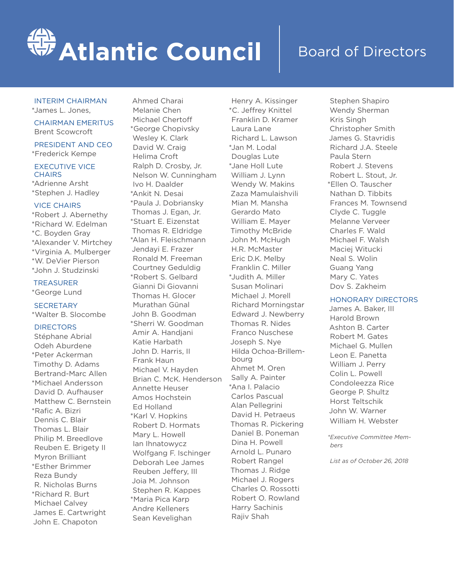# **Atlantic Council**

### Board of Directors

#### INTERIM CHAIRMAN

\*James L. Jones,

CHAIRMAN EMERITUS Brent Scowcroft

PRESIDENT AND CEO \*Frederick Kempe

#### EXECUTIVE VICE **CHAIRS**

\*Adrienne Arsht \*Stephen J. Hadley

#### VICE CHAIRS

\*Robert J. Abernethy \*Richard W. Edelman \*C. Boyden Gray \*Alexander V. Mirtchey \*Virginia A. Mulberger \*W. DeVier Pierson \*John J. Studzinski

#### TREASURER \*George Lund

**SECRETARY** 

\*Walter B. Slocombe

#### **DIRECTORS**

Stéphane Abrial Odeh Aburdene \*Peter Ackerman Timothy D. Adams Bertrand-Marc Allen \*Michael Andersson David D. Aufhauser Matthew C. Bernstein \*Rafic A. Bizri Dennis C. Blair Thomas L. Blair Philip M. Breedlove Reuben E. Brigety II Myron Brilliant \*Esther Brimmer Reza Bundy R. Nicholas Burns \*Richard R. Burt Michael Calvey James E. Cartwright John E. Chapoton

Ahmed Charai Melanie Chen Michael Chertoff \*George Chopivsky Wesley K. Clark David W. Craig Helima Croft Ralph D. Crosby, Jr. Nelson W. Cunningham Ivo H. Daalder \*Ankit N. Desai \*Paula J. Dobriansky Thomas J. Egan, Jr. \*Stuart E. Eizenstat Thomas R. Eldridge \*Alan H. Fleischmann Jendayi E. Frazer Ronald M. Freeman Courtney Geduldig \*Robert S. Gelbard Gianni Di Giovanni Thomas H. Glocer Murathan Günal John B. Goodman \*Sherri W. Goodman Amir A. Handjani Katie Harbath John D. Harris, II Frank Haun Michael V. Hayden Brian C. McK. Henderson Annette Heuser Amos Hochstein Ed Holland \*Karl V. Hopkins Robert D. Hormats Mary L. Howell Ian Ihnatowycz Wolfgang F. Ischinger Deborah Lee James Reuben Jeffery, III Joia M. Johnson Stephen R. Kappes \*Maria Pica Karp Andre Kelleners Sean Kevelighan

Henry A. Kissinger \*C. Jeffrey Knittel Franklin D. Kramer Laura Lane Richard L. Lawson \*Jan M. Lodal Douglas Lute \*Jane Holl Lute William J. Lynn Wendy W. Makins Zaza Mamulaishvili Mian M. Mansha Gerardo Mato William E. Mayer Timothy McBride John M. McHugh H.R. McMaster Eric D.K. Melby Franklin C. Miller \*Judith A. Miller Susan Molinari Michael J. Morell Richard Morningstar Edward J. Newberry Thomas R. Nides Franco Nuschese Joseph S. Nye Hilda Ochoa-Brillembourg Ahmet M. Oren Sally A. Painter \*Ana I. Palacio Carlos Pascual Alan Pellegrini David H. Petraeus Thomas R. Pickering Daniel B. Poneman Dina H. Powell Arnold L. Punaro Robert Rangel Thomas J. Ridge Michael J. Rogers Charles O. Rossotti Robert O. Rowland Harry Sachinis Rajiv Shah

Stephen Shapiro Wendy Sherman Kris Singh Christopher Smith James G. Stavridis Richard J.A. Steele Paula Stern Robert J. Stevens Robert L. Stout, Jr. \*Ellen O. Tauscher Nathan D. Tibbits Frances M. Townsend Clyde C. Tuggle Melanne Verveer Charles F. Wald Michael F. Walsh Maciej Witucki Neal S. Wolin Guang Yang Mary C. Yates Dov S. Zakheim

#### HONORARY DIRECTORS

James A. Baker, III Harold Brown Ashton B. Carter Robert M. Gates Michael G. Mullen Leon E. Panetta William J. Perry Colin L. Powell Condoleezza Rice George P. Shultz Horst Teltschik John W. Warner William H. Webster

*\*Executive Committee Members*

*List as of October 26, 2018*